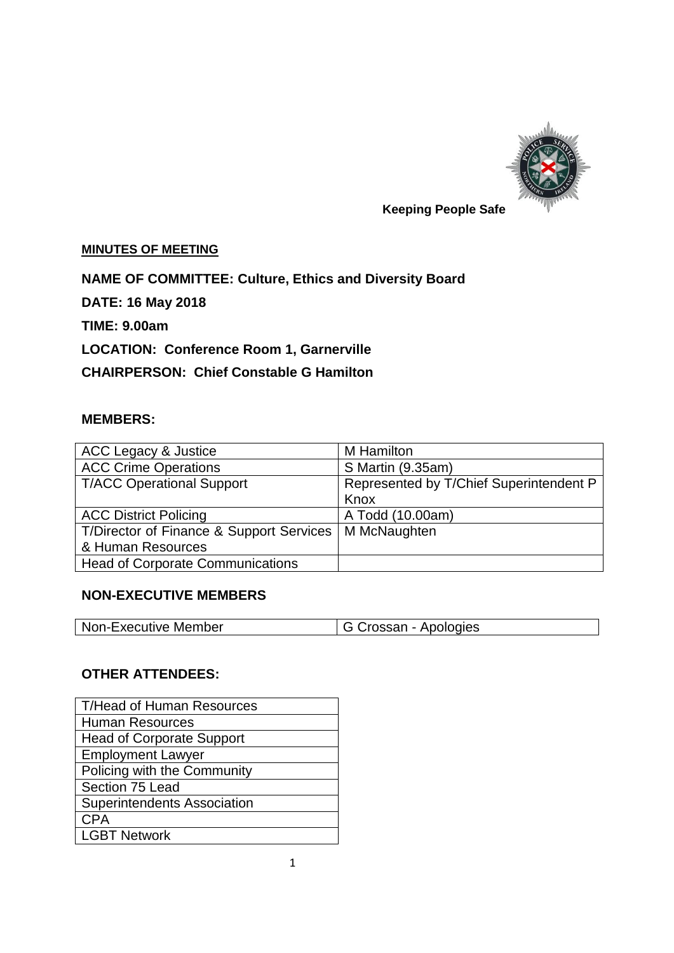

# **Keeping People Safe**

#### **MINUTES OF MEETING**

**NAME OF COMMITTEE: Culture, Ethics and Diversity Board**

**DATE: 16 May 2018**

**TIME: 9.00am**

**LOCATION: Conference Room 1, Garnerville**

**CHAIRPERSON: Chief Constable G Hamilton**

## **MEMBERS:**

| <b>ACC Legacy &amp; Justice</b>          | M Hamilton                              |
|------------------------------------------|-----------------------------------------|
| <b>ACC Crime Operations</b>              | S Martin (9.35am)                       |
| <b>T/ACC Operational Support</b>         | Represented by T/Chief Superintendent P |
|                                          | Knox                                    |
| <b>ACC District Policing</b>             | A Todd (10.00am)                        |
| T/Director of Finance & Support Services | M McNaughten                            |
| & Human Resources                        |                                         |
| <b>Head of Corporate Communications</b>  |                                         |

#### **NON-EXECUTIVE MEMBERS**

| Non-Executive Member | G Crossan - Apologies |
|----------------------|-----------------------|

#### **OTHER ATTENDEES:**

| T/Head of Human Resources          |
|------------------------------------|
| Human Resources                    |
| <b>Head of Corporate Support</b>   |
| <b>Employment Lawyer</b>           |
| <b>Policing with the Community</b> |
| Section 75 Lead                    |
| <b>Superintendents Association</b> |
| <b>CPA</b>                         |
| <b>LGBT Network</b>                |
|                                    |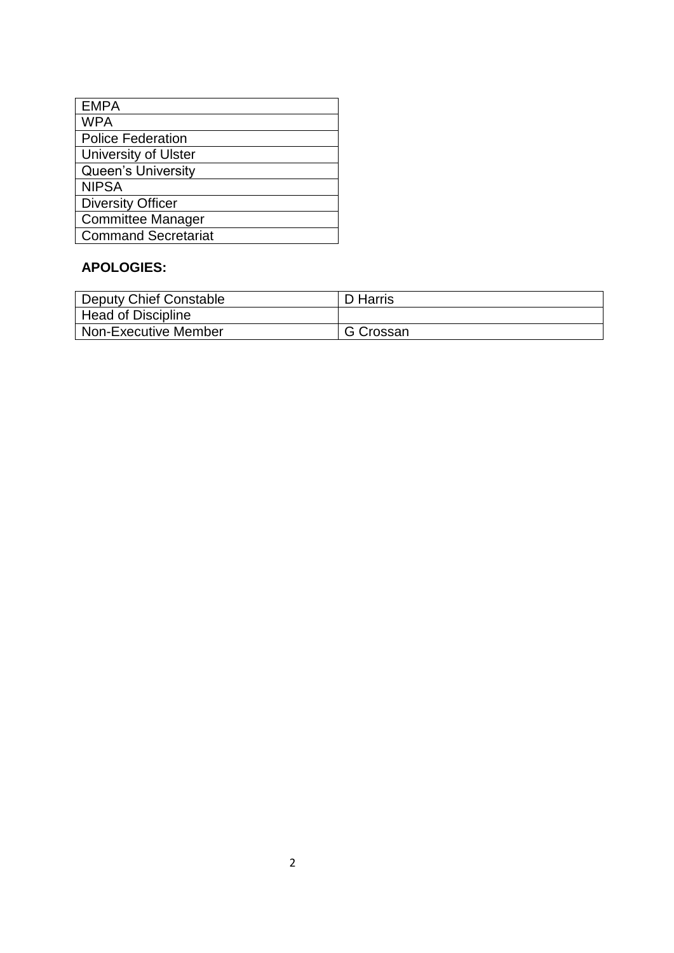| <b>EMPA</b>                 |
|-----------------------------|
| <b>WPA</b>                  |
| <b>Police Federation</b>    |
| <b>University of Ulster</b> |
| <b>Queen's University</b>   |
| <b>NIPSA</b>                |
| <b>Diversity Officer</b>    |
| <b>Committee Manager</b>    |
| <b>Command Secretariat</b>  |
|                             |

## **APOLOGIES:**

| Deputy Chief Constable      | D Harris  |
|-----------------------------|-----------|
| Head of Discipline          |           |
| <b>Non-Executive Member</b> | G Crossan |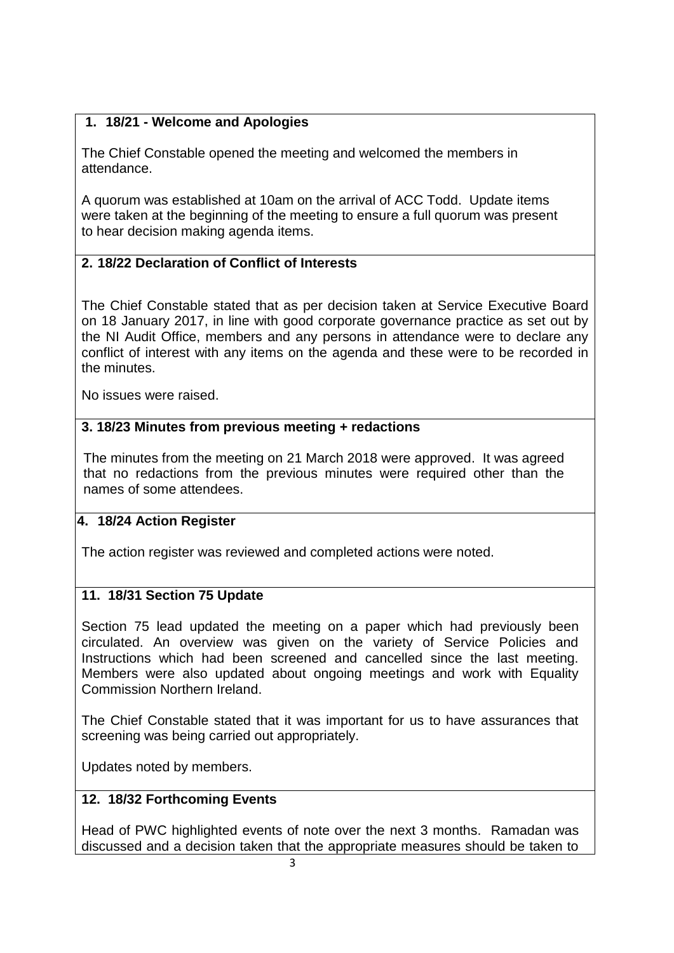## **1. 18/21 - Welcome and Apologies**

The Chief Constable opened the meeting and welcomed the members in attendance.

A quorum was established at 10am on the arrival of ACC Todd. Update items were taken at the beginning of the meeting to ensure a full quorum was present to hear decision making agenda items.

## **2. 18/22 Declaration of Conflict of Interests**

The Chief Constable stated that as per decision taken at Service Executive Board on 18 January 2017, in line with good corporate governance practice as set out by the NI Audit Office, members and any persons in attendance were to declare any conflict of interest with any items on the agenda and these were to be recorded in the minutes.

No issues were raised.

## **3. 3. 18/23 Minutes from previous meeting + redactions**

The minutes from the meeting on 21 March 2018 were approved. It was agreed that no redactions from the previous minutes were required other than the names of some attendees.

## **4. 18/24 Action Register**

The action register was reviewed and completed actions were noted.

## **11. 18/31 Section 75 Update**

Section 75 lead updated the meeting on a paper which had previously been circulated. An overview was given on the variety of Service Policies and Instructions which had been screened and cancelled since the last meeting. Members were also updated about ongoing meetings and work with Equality Commission Northern Ireland.

The Chief Constable stated that it was important for us to have assurances that screening was being carried out appropriately.

Updates noted by members.

## **12. 18/32 Forthcoming Events**

Head of PWC highlighted events of note over the next 3 months. Ramadan was discussed and a decision taken that the appropriate measures should be taken to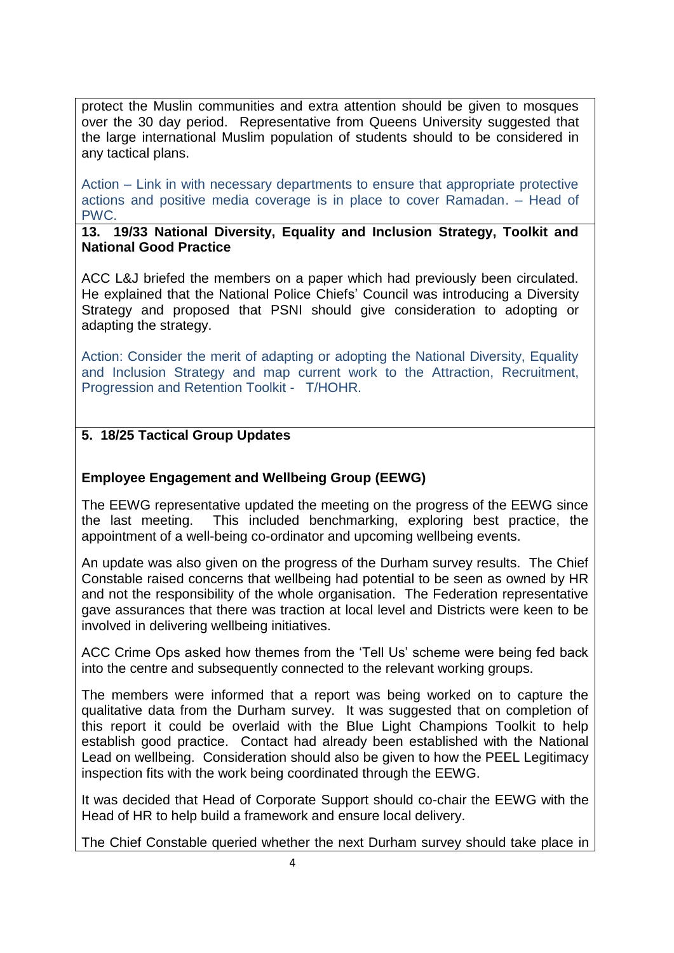protect the Muslin communities and extra attention should be given to mosques over the 30 day period. Representative from Queens University suggested that the large international Muslim population of students should to be considered in any tactical plans.

Action – Link in with necessary departments to ensure that appropriate protective actions and positive media coverage is in place to cover Ramadan. – Head of PWC.

**13. 19/33 National Diversity, Equality and Inclusion Strategy, Toolkit and National Good Practice**

ACC L&J briefed the members on a paper which had previously been circulated. He explained that the National Police Chiefs' Council was introducing a Diversity Strategy and proposed that PSNI should give consideration to adopting or adapting the strategy.

Action: Consider the merit of adapting or adopting the National Diversity, Equality and Inclusion Strategy and map current work to the Attraction, Recruitment, Progression and Retention Toolkit - T/HOHR.

## **5. 18/25 Tactical Group Updates**

#### **Employee Engagement and Wellbeing Group (EEWG)**

The EEWG representative updated the meeting on the progress of the EEWG since the last meeting. This included benchmarking, exploring best practice, the appointment of a well-being co-ordinator and upcoming wellbeing events.

An update was also given on the progress of the Durham survey results. The Chief Constable raised concerns that wellbeing had potential to be seen as owned by HR and not the responsibility of the whole organisation. The Federation representative gave assurances that there was traction at local level and Districts were keen to be involved in delivering wellbeing initiatives.

ACC Crime Ops asked how themes from the 'Tell Us' scheme were being fed back into the centre and subsequently connected to the relevant working groups.

The members were informed that a report was being worked on to capture the qualitative data from the Durham survey. It was suggested that on completion of this report it could be overlaid with the Blue Light Champions Toolkit to help establish good practice. Contact had already been established with the National Lead on wellbeing. Consideration should also be given to how the PEEL Legitimacy inspection fits with the work being coordinated through the EEWG.

It was decided that Head of Corporate Support should co-chair the EEWG with the Head of HR to help build a framework and ensure local delivery.

The Chief Constable queried whether the next Durham survey should take place in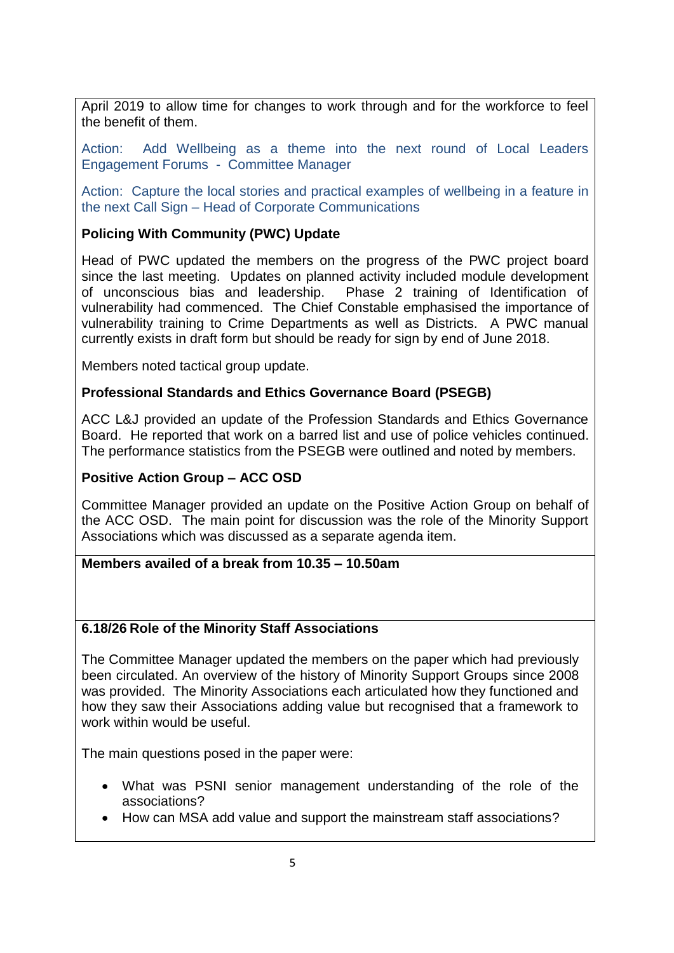April 2019 to allow time for changes to work through and for the workforce to feel the benefit of them.

Action: Add Wellbeing as a theme into the next round of Local Leaders Engagement Forums - Committee Manager

Action: Capture the local stories and practical examples of wellbeing in a feature in the next Call Sign – Head of Corporate Communications

## **Policing With Community (PWC) Update**

Head of PWC updated the members on the progress of the PWC project board since the last meeting. Updates on planned activity included module development of unconscious bias and leadership. Phase 2 training of Identification of vulnerability had commenced. The Chief Constable emphasised the importance of vulnerability training to Crime Departments as well as Districts. A PWC manual currently exists in draft form but should be ready for sign by end of June 2018.

Members noted tactical group update.

## **Professional Standards and Ethics Governance Board (PSEGB)**

ACC L&J provided an update of the Profession Standards and Ethics Governance Board. He reported that work on a barred list and use of police vehicles continued. The performance statistics from the PSEGB were outlined and noted by members.

#### **Positive Action Group – ACC OSD**

Committee Manager provided an update on the Positive Action Group on behalf of the ACC OSD. The main point for discussion was the role of the Minority Support Associations which was discussed as a separate agenda item.

## **Members availed of a break from 10.35 – 10.50am**

#### **6.18/26 Role of the Minority Staff Associations**

The Committee Manager updated the members on the paper which had previously been circulated. An overview of the history of Minority Support Groups since 2008 was provided. The Minority Associations each articulated how they functioned and how they saw their Associations adding value but recognised that a framework to work within would be useful.

The main questions posed in the paper were:

- What was PSNI senior management understanding of the role of the associations?
- How can MSA add value and support the mainstream staff associations?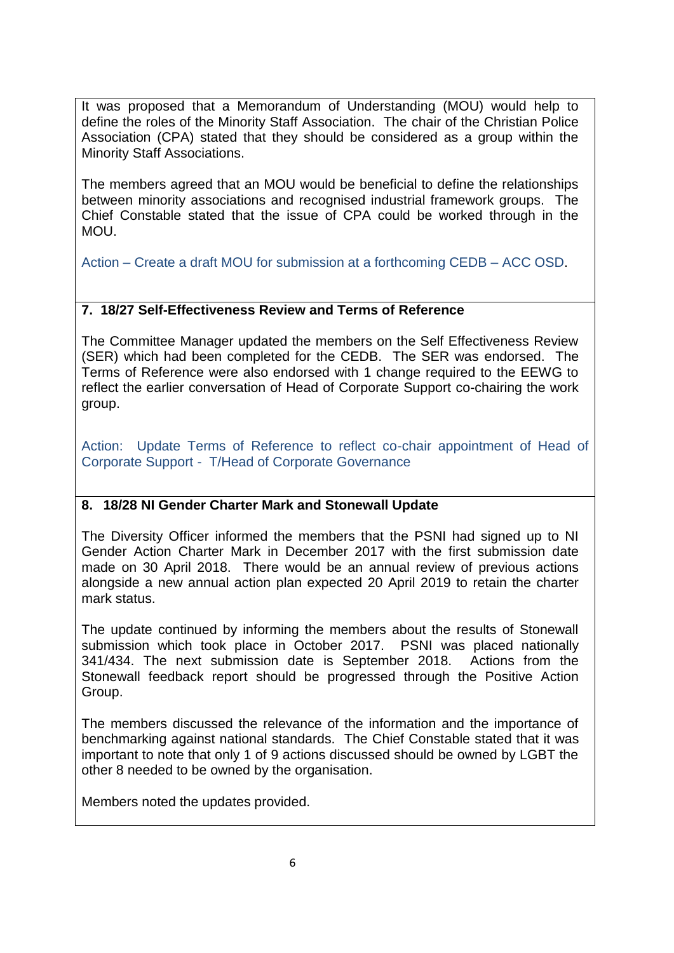It was proposed that a Memorandum of Understanding (MOU) would help to define the roles of the Minority Staff Association. The chair of the Christian Police Association (CPA) stated that they should be considered as a group within the Minority Staff Associations.

The members agreed that an MOU would be beneficial to define the relationships between minority associations and recognised industrial framework groups. The Chief Constable stated that the issue of CPA could be worked through in the MOU.

Action – Create a draft MOU for submission at a forthcoming CEDB – ACC OSD.

## **7. 18/27 Self-Effectiveness Review and Terms of Reference**

The Committee Manager updated the members on the Self Effectiveness Review (SER) which had been completed for the CEDB. The SER was endorsed. The Terms of Reference were also endorsed with 1 change required to the EEWG to reflect the earlier conversation of Head of Corporate Support co-chairing the work group.

Action: Update Terms of Reference to reflect co-chair appointment of Head of Corporate Support - T/Head of Corporate Governance

## **8. 18/28 NI Gender Charter Mark and Stonewall Update**

The Diversity Officer informed the members that the PSNI had signed up to NI Gender Action Charter Mark in December 2017 with the first submission date made on 30 April 2018. There would be an annual review of previous actions alongside a new annual action plan expected 20 April 2019 to retain the charter mark status.

The update continued by informing the members about the results of Stonewall submission which took place in October 2017. PSNI was placed nationally 341/434. The next submission date is September 2018. Actions from the Stonewall feedback report should be progressed through the Positive Action Group.

The members discussed the relevance of the information and the importance of benchmarking against national standards. The Chief Constable stated that it was important to note that only 1 of 9 actions discussed should be owned by LGBT the other 8 needed to be owned by the organisation.

Members noted the updates provided.